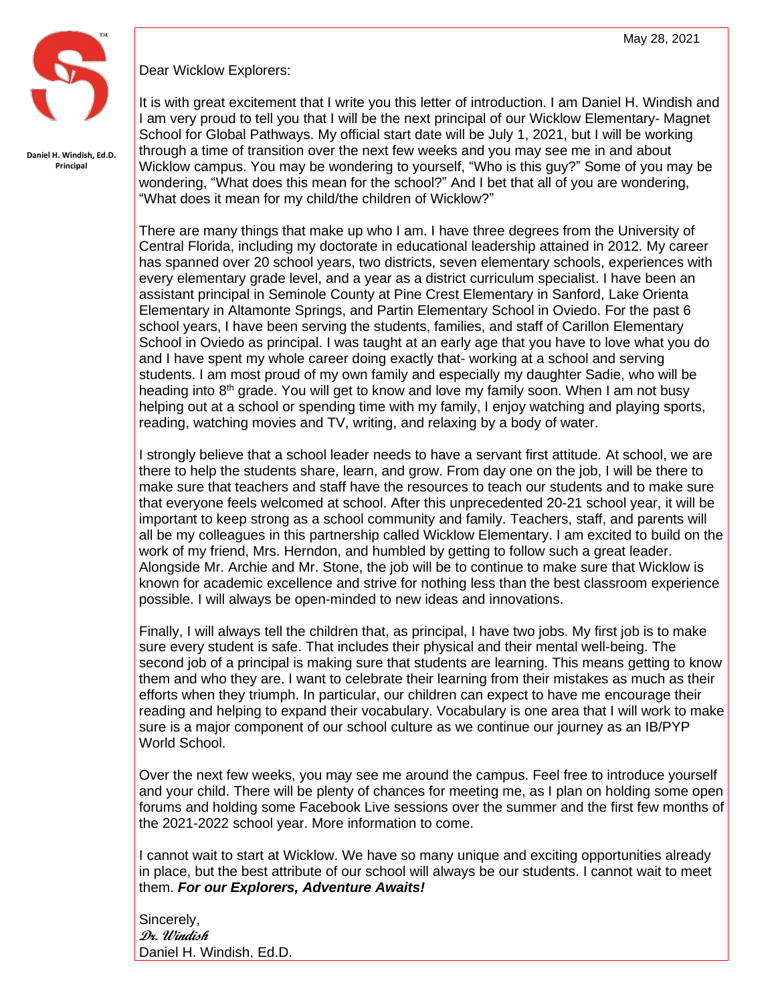

**Daniel H. Windish, Ed.D. Principal**

Dear Wicklow Explorers:

 through a time of transition over the next few weeks and you may see me in and about It is with great excitement that I write you this letter of introduction. I am Daniel H. Windish and I am very proud to tell you that I will be the next principal of our Wicklow Elementary- Magnet School for Global Pathways. My official start date will be July 1, 2021, but I will be working Wicklow campus. You may be wondering to yourself, "Who is this guy?" Some of you may be wondering, "What does this mean for the school?" And I bet that all of you are wondering, "What does it mean for my child/the children of Wicklow?"

There are many things that make up who I am. I have three degrees from the University of Central Florida, including my doctorate in educational leadership attained in 2012. My career has spanned over 20 school years, two districts, seven elementary schools, experiences with every elementary grade level, and a year as a district curriculum specialist. I have been an assistant principal in Seminole County at Pine Crest Elementary in Sanford, Lake Orienta Elementary in Altamonte Springs, and Partin Elementary School in Oviedo. For the past 6 school years, I have been serving the students, families, and staff of Carillon Elementary School in Oviedo as principal. I was taught at an early age that you have to love what you do and I have spent my whole career doing exactly that- working at a school and serving students. I am most proud of my own family and especially my daughter Sadie, who will be heading into 8<sup>th</sup> grade. You will get to know and love my family soon. When I am not busy helping out at a school or spending time with my family, I enjoy watching and playing sports, reading, watching movies and TV, writing, and relaxing by a body of water.

I strongly believe that a school leader needs to have a servant first attitude. At school, we are there to help the students share, learn, and grow. From day one on the job, I will be there to make sure that teachers and staff have the resources to teach our students and to make sure that everyone feels welcomed at school. After this unprecedented 20-21 school year, it will be important to keep strong as a school community and family. Teachers, staff, and parents will all be my colleagues in this partnership called Wicklow Elementary. I am excited to build on the work of my friend, Mrs. Herndon, and humbled by getting to follow such a great leader. Alongside Mr. Archie and Mr. Stone, the job will be to continue to make sure that Wicklow is known for academic excellence and strive for nothing less than the best classroom experience possible. I will always be open-minded to new ideas and innovations.

Finally, I will always tell the children that, as principal, I have two jobs. My first job is to make sure every student is safe. That includes their physical and their mental well-being. The second job of a principal is making sure that students are learning. This means getting to know them and who they are. I want to celebrate their learning from their mistakes as much as their efforts when they triumph. In particular, our children can expect to have me encourage their reading and helping to expand their vocabulary. Vocabulary is one area that I will work to make sure is a major component of our school culture as we continue our journey as an IB/PYP World School.

Over the next few weeks, you may see me around the campus. Feel free to introduce yourself and your child. There will be plenty of chances for meeting me, as I plan on holding some open forums and holding some Facebook Live sessions over the summer and the first few months of the 2021-2022 school year. More information to come.

I cannot wait to start at Wicklow. We have so many unique and exciting opportunities already in place, but the best attribute of our school will always be our students. I cannot wait to meet them. *For our Explorers, Adventure Awaits!*

Sincerely, **Dr. Windish** Daniel H. Windish, Ed.D.